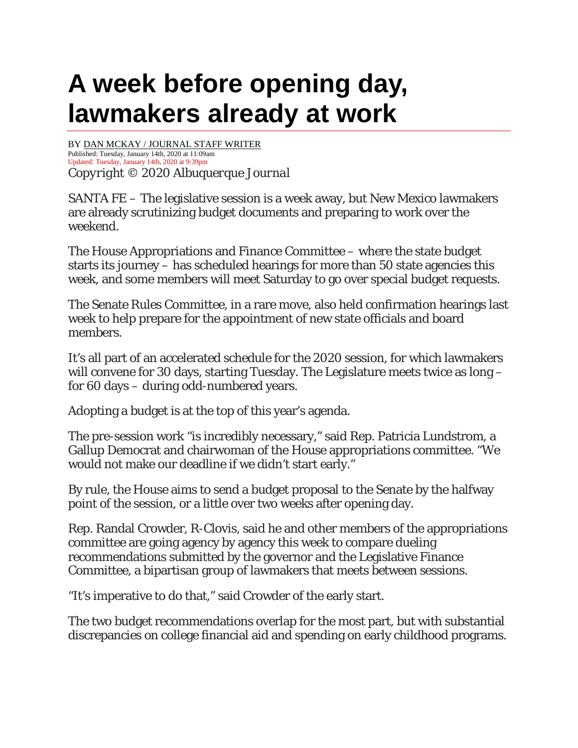## **A week before opening day, lawmakers already at work**

BY [DAN MCKAY / JOURNAL STAFF WRITER](https://www.abqjournal.com/author/dmckay) Published: Tuesday, January 14th, 2020 at 11:09am Updated: Tuesday, January 14th, 2020 at 9:39pm *Copyright © 2020 Albuquerque Journal*

SANTA FE – The legislative session is a week away, but New Mexico lawmakers are already scrutinizing budget documents and preparing to work over the weekend.

The House Appropriations and Finance Committee – where the state budget starts its journey – has scheduled hearings for more than 50 state agencies this week, and some members will meet Saturday to go over special budget requests.

The Senate Rules Committee, in a rare move, also held confirmation hearings last week to help prepare for the appointment of new state officials and board members.

It's all part of an accelerated schedule for the 2020 session, for which lawmakers will convene for 30 days, starting Tuesday. The Legislature meets twice as long – for 60 days – during odd-numbered years.

Adopting a budget is at the top of this year's agenda.

The pre-session work "is incredibly necessary," said Rep. Patricia Lundstrom, a Gallup Democrat and chairwoman of the House appropriations committee. "We would not make our deadline if we didn't start early."

By rule, the House aims to send a budget proposal to the Senate by the halfway point of the session, or a little over two weeks after opening day.

Rep. Randal Crowder, R-Clovis, said he and other members of the appropriations committee are going agency by agency this week to compare dueling recommendations submitted by the governor and the Legislative Finance Committee, a bipartisan group of lawmakers that meets between sessions.

"It's imperative to do that," said Crowder of the early start.

The two budget recommendations overlap for the most part, but with substantial discrepancies on college financial aid and spending on early childhood programs.